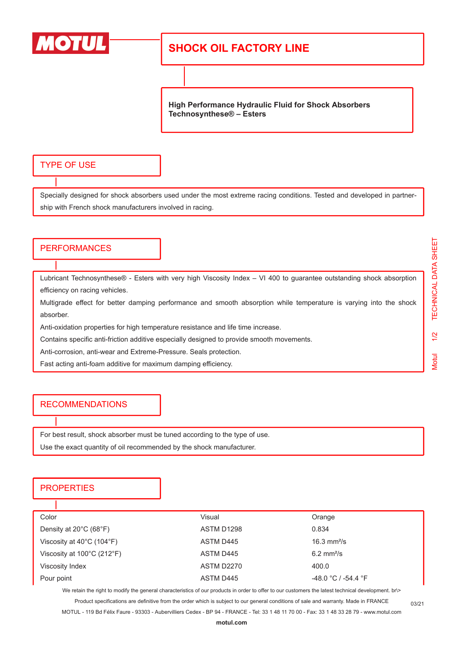

## **SHOCK OIL FACTORY LINE**

**High Performance Hydraulic Fluid for Shock Absorbers Technosynthese® – Esters**

### TYPE OF USE

Specially designed for shock absorbers used under the most extreme racing conditions. Tested and developed in partnership with French shock manufacturers involved in racing.

#### **PERFORMANCES**

Lubricant Technosynthese® - Esters with very high Viscosity Index – VI 400 to guarantee outstanding shock absorption efficiency on racing vehicles.

Multigrade effect for better damping performance and smooth absorption while temperature is varying into the shock absorber.

Anti-oxidation properties for high temperature resistance and life time increase.

Contains specific anti-friction additive especially designed to provide smooth movements.

Anti-corrosion, anti-wear and Extreme-Pressure. Seals protection.

Fast acting anti-foam additive for maximum damping efficiency.

#### **RECOMMENDATIONS**

For best result, shock absorber must be tuned according to the type of use. Use the exact quantity of oil recommended by the shock manufacturer.

### **PROPERTIES**

ı

| Color                                           | Visual            | Orange                   |  |
|-------------------------------------------------|-------------------|--------------------------|--|
| Density at $20^{\circ}$ C (68 $^{\circ}$ F)     | ASTM D1298        | 0.834                    |  |
| Viscosity at $40^{\circ}$ C (104 $^{\circ}$ F)  | ASTM D445         | 16.3 $mm^2/s$            |  |
| Viscosity at $100^{\circ}$ C (212 $^{\circ}$ F) | ASTM D445         | $6.2$ mm <sup>2</sup> /s |  |
| Viscosity Index                                 | <b>ASTM D2270</b> | 400.0                    |  |
| Pour point                                      | ASTM D445         | $-48.0 °C / -54.4 °F$    |  |

We retain the right to modify the general characteristics of our products in order to offer to our customers the latest technical development. br\> Product specifications are definitive from the order which is subject to our general conditions of sale and warranty. Made in FRANCE

MOTUL - 119 Bd Félix Faure - 93303 - Aubervilliers Cedex - BP 94 - FRANCE - Tel: 33 1 48 11 70 00 - Fax: 33 1 48 33 28 79 - www.motul.com

03/21